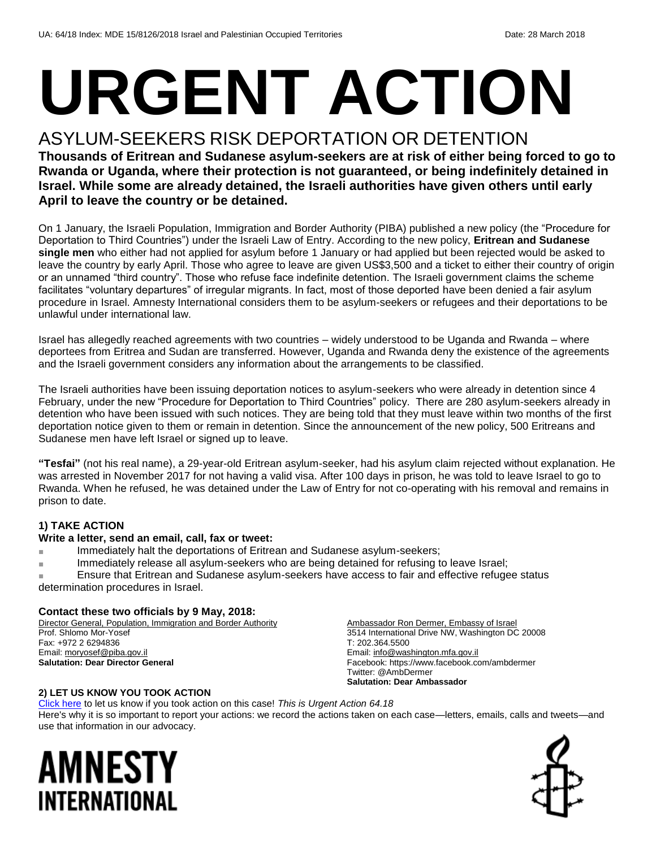# **URGENT ACTION**

#### ASYLUM-SEEKERS RISK DEPORTATION OR DETENTION

**Thousands of Eritrean and Sudanese asylum-seekers are at risk of either being forced to go to Rwanda or Uganda, where their protection is not guaranteed, or being indefinitely detained in Israel. While some are already detained, the Israeli authorities have given others until early April to leave the country or be detained.**

On 1 January, the Israeli Population, Immigration and Border Authority (PIBA) published a new policy (the "Procedure for Deportation to Third Countries") under the Israeli Law of Entry. According to the new policy, **Eritrean and Sudanese single men** who either had not applied for asylum before 1 January or had applied but been rejected would be asked to leave the country by early April. Those who agree to leave are given US\$3,500 and a ticket to either their country of origin or an unnamed "third country". Those who refuse face indefinite detention. The Israeli government claims the scheme facilitates "voluntary departures" of irregular migrants. In fact, most of those deported have been denied a fair asylum procedure in Israel. Amnesty International considers them to be asylum-seekers or refugees and their deportations to be unlawful under international law.

Israel has allegedly reached agreements with two countries – widely understood to be Uganda and Rwanda – where deportees from Eritrea and Sudan are transferred. However, Uganda and Rwanda deny the existence of the agreements and the Israeli government considers any information about the arrangements to be classified.

The Israeli authorities have been issuing deportation notices to asylum-seekers who were already in detention since 4 February, under the new "Procedure for Deportation to Third Countries" policy. There are 280 asylum-seekers already in detention who have been issued with such notices. They are being told that they must leave within two months of the first deportation notice given to them or remain in detention. Since the announcement of the new policy, 500 Eritreans and Sudanese men have left Israel or signed up to leave.

**"Tesfai"** (not his real name), a 29-year-old Eritrean asylum-seeker, had his asylum claim rejected without explanation. He was arrested in November 2017 for not having a valid visa. After 100 days in prison, he was told to leave Israel to go to Rwanda. When he refused, he was detained under the Law of Entry for not co-operating with his removal and remains in prison to date.

#### **1) TAKE ACTION**

#### **Write a letter, send an email, call, fax or tweet:**

- Immediately halt the deportations of Eritrean and Sudanese asylum-seekers;
- Immediately release all asylum-seekers who are being detained for refusing to leave Israel;

Ensure that Eritrean and Sudanese asylum-seekers have access to fair and effective refugee status determination procedures in Israel.

#### **Contact these two officials by 9 May, 2018:**

Director General, Population, Immigration and Border Authority Prof. Shlomo Mor-Yosef Fax: +972 2 6294836 Email[: moryosef@piba.gov.il](mailto:moryosef@piba.gov.il) **Salutation: Dear Director General**

Ambassador Ron Dermer, Embassy of Israel 3514 International Drive NW, Washington DC 20008 T: 202.364.5500 Email[: info@washington.mfa.gov.il](mailto:info@washington.mfa.gov.il) Facebook: https://www.facebook.com/ambdermer Twitter: @AmbDermer **Salutation: Dear Ambassador**

#### **2) LET US KNOW YOU TOOK ACTION**

[Click here](https://www.amnestyusa.org/report-urgent-actions/) to let us know if you took action on this case! *This is Urgent Action 64.18* Here's why it is so important to report your actions: we record the actions taken on each case—letters, emails, calls and tweets—and use that information in our advocacy.

### AMNESTY INTERNATIONAL